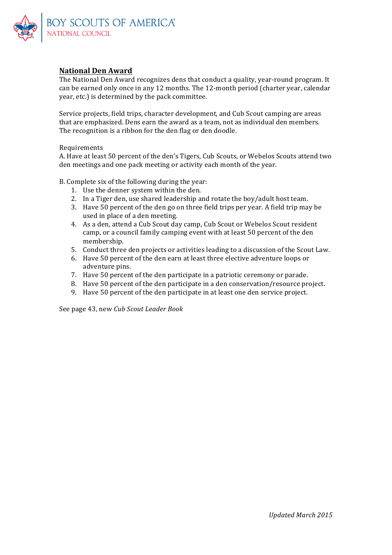

# **National Den Award**

The National Den Award recognizes dens that conduct a quality, year-round program. It can be earned only once in any 12 months. The 12-month period (charter year, calendar year, etc.) is determined by the pack committee.

Service projects, field trips, character development, and Cub Scout camping are areas that are emphasized. Dens earn the award as a team, not as individual den members. The recognition is a ribbon for the den flag or den doodle.

#### Requirements

A. Have at least 50 percent of the den's Tigers, Cub Scouts, or Webelos Scouts attend two den meetings and one pack meeting or activity each month of the year.

B. Complete six of the following during the year:

- 1. Use the denner system within the den.
- 2. In a Tiger den, use shared leadership and rotate the boy/adult host team.
- 3. Have 50 percent of the den go on three field trips per year. A field trip may be used in place of a den meeting.
- 4. As a den, attend a Cub Scout day camp, Cub Scout or Webelos Scout resident camp, or a council family camping event with at least 50 percent of the den membership.
- 5. Conduct three den projects or activities leading to a discussion of the Scout Law.
- 6. Have 50 percent of the den earn at least three elective adventure loops or adventure pins.
- 7. Have 50 percent of the den participate in a patriotic ceremony or parade.
- 8. Have 50 percent of the den participate in a den conservation/resource project.
- 9. Have 50 percent of the den participate in at least one den service project.

See page 43, new *Cub Scout Leader Book*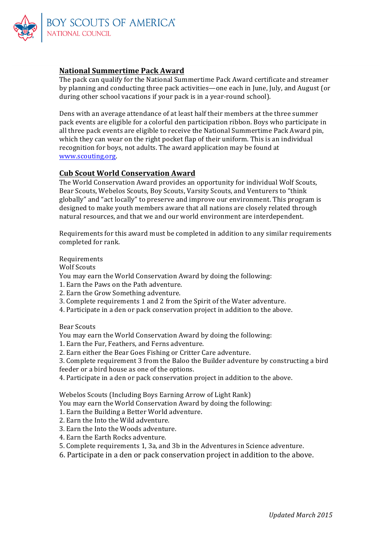

# **National Summertime Pack Award**

The pack can qualify for the National Summertime Pack Award certificate and streamer by planning and conducting three pack activities—one each in June, July, and August (or during other school vacations if your pack is in a vear-round school).

Dens with an average attendance of at least half their members at the three summer pack events are eligible for a colorful den participation ribbon. Boys who participate in all three pack events are eligible to receive the National Summertime Pack Award pin, which they can wear on the right pocket flap of their uniform. This is an individual recognition for boys, not adults. The award application may be found at www.scouting.org.

## **Cub Scout World Conservation Award**

The World Conservation Award provides an opportunity for individual Wolf Scouts, Bear Scouts, Webelos Scouts, Boy Scouts, Varsity Scouts, and Venturers to "think globally" and "act locally" to preserve and improve our environment. This program is designed to make youth members aware that all nations are closely related through natural resources, and that we and our world environment are interdependent.

Requirements for this award must be completed in addition to any similar requirements completed for rank.

#### Requirements

Wolf Scouts

You may earn the World Conservation Award by doing the following:

- 1. Earn the Paws on the Path adventure.
- 2. Earn the Grow Something adventure.
- 3. Complete requirements 1 and 2 from the Spirit of the Water adventure.
- 4. Participate in a den or pack conservation project in addition to the above.

Bear Scouts

You may earn the World Conservation Award by doing the following:

- 1. Earn the Fur, Feathers, and Ferns adventure.
- 2. Earn either the Bear Goes Fishing or Critter Care adventure.
- 3. Complete requirement 3 from the Baloo the Builder adventure by constructing a bird

feeder or a bird house as one of the options.

4. Participate in a den or pack conservation project in addition to the above.

Webelos Scouts (Including Boys Earning Arrow of Light Rank)

- You may earn the World Conservation Award by doing the following:
- 1. Earn the Building a Better World adventure.
- 2. Earn the Into the Wild adventure.
- 3. Earn the Into the Woods adventure.
- 4. Earn the Earth Rocks adventure.
- 5. Complete requirements 1, 3a, and 3b in the Adventures in Science adventure.
- 6. Participate in a den or pack conservation project in addition to the above.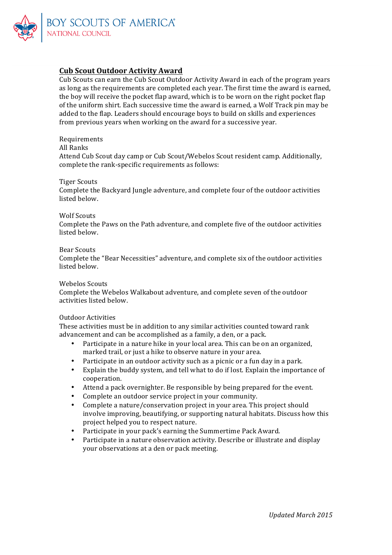

# **Cub Scout Outdoor Activity Award**

Cub Scouts can earn the Cub Scout Outdoor Activity Award in each of the program years as long as the requirements are completed each year. The first time the award is earned, the boy will receive the pocket flap award, which is to be worn on the right pocket flap of the uniform shirt. Each successive time the award is earned, a Wolf Track pin may be added to the flap. Leaders should encourage boys to build on skills and experiences from previous years when working on the award for a successive year.

Requirements

## All Ranks

Attend Cub Scout day camp or Cub Scout/Webelos Scout resident camp. Additionally, complete the rank-specific requirements as follows:

#### Tiger Scouts

Complete the Backyard Jungle adventure, and complete four of the outdoor activities listed below.

#### Wolf Scouts

Complete the Paws on the Path adventure, and complete five of the outdoor activities listed below.

#### Bear Scouts

Complete the "Bear Necessities" adventure, and complete six of the outdoor activities listed below.

#### Webelos Scouts

Complete the Webelos Walkabout adventure, and complete seven of the outdoor activities listed below.

#### Outdoor Activities

These activities must be in addition to any similar activities counted toward rank advancement and can be accomplished as a family, a den, or a pack.

- Participate in a nature hike in your local area. This can be on an organized, marked trail, or just a hike to observe nature in your area.
- Participate in an outdoor activity such as a picnic or a fun day in a park.
- Explain the buddy system, and tell what to do if lost. Explain the importance of cooperation.
- Attend a pack overnighter. Be responsible by being prepared for the event.
- Complete an outdoor service project in your community.
- Complete a nature/conservation project in your area. This project should involve improving, beautifying, or supporting natural habitats. Discuss how this project helped you to respect nature.
- Participate in your pack's earning the Summertime Pack Award.
- Participate in a nature observation activity. Describe or illustrate and display your observations at a den or pack meeting.